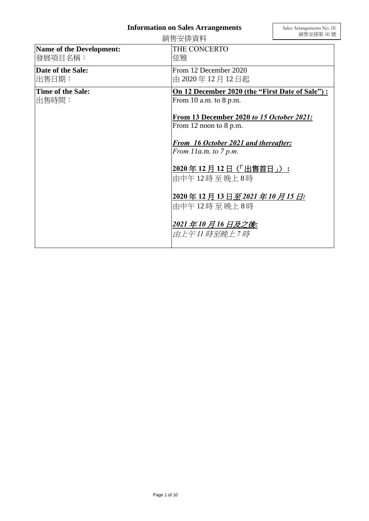## **Information on Sales Arrangements**

|                                            | 銷售安排資料                                                                    | - 銷售安排第 1E 號 |
|--------------------------------------------|---------------------------------------------------------------------------|--------------|
| <b>Name of the Development:</b><br>發展項目名稱: | THE CONCERTO<br>弦雅                                                        |              |
| Date of the Sale:<br>出售日期:                 | From 12 December 2020<br>由 2020年12月12日起                                   |              |
| Time of the Sale:<br> 出售時間:                | On 12 December 2020 (the "First Date of Sale"):<br>From 10 a.m. to 8 p.m. |              |
|                                            | From 13 December 2020 to 15 October 2021:<br>From 12 noon to 8 p.m.       |              |
|                                            | From 16 October 2021 and thereafter:<br>From $11a.m.$ to $7 p.m.$         |              |
|                                            | 2020年12月12日 (「出售首日」):<br>由中午12時至晚上8時                                      |              |
|                                            | 2020年12月13日至2021年10月15日:<br>由中午12時至晚上8時                                   |              |
|                                            | 2021年10月16日及之後:<br>由上午11 時至晩上 7 時                                         |              |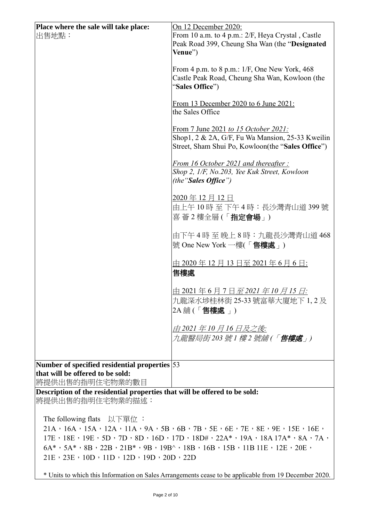| Place where the sale will take place:                                                                                                                                                                                                          | On 12 December 2020:                                                                                                   |  |
|------------------------------------------------------------------------------------------------------------------------------------------------------------------------------------------------------------------------------------------------|------------------------------------------------------------------------------------------------------------------------|--|
| 出售地點:                                                                                                                                                                                                                                          | From 10 a.m. to 4 p.m.: 2/F, Heya Crystal, Castle                                                                      |  |
|                                                                                                                                                                                                                                                | Peak Road 399, Cheung Sha Wan (the "Designated                                                                         |  |
|                                                                                                                                                                                                                                                | Venue")                                                                                                                |  |
|                                                                                                                                                                                                                                                |                                                                                                                        |  |
|                                                                                                                                                                                                                                                | From 4 p.m. to 8 p.m.: $1/F$ , One New York, 468                                                                       |  |
|                                                                                                                                                                                                                                                | Castle Peak Road, Cheung Sha Wan, Kowloon (the<br>"Sales Office")                                                      |  |
|                                                                                                                                                                                                                                                |                                                                                                                        |  |
|                                                                                                                                                                                                                                                | <u>From 13 December 2020 to 6 June 2021:</u>                                                                           |  |
|                                                                                                                                                                                                                                                | the Sales Office                                                                                                       |  |
|                                                                                                                                                                                                                                                |                                                                                                                        |  |
|                                                                                                                                                                                                                                                | From 7 June 2021 to 15 October 2021:<br>Shop1, 2 & 2A, G/F, Fu Wa Mansion, 25-33 Kweilin                               |  |
|                                                                                                                                                                                                                                                | Street, Sham Shui Po, Kowloon(the "Sales Office")                                                                      |  |
|                                                                                                                                                                                                                                                |                                                                                                                        |  |
|                                                                                                                                                                                                                                                | From 16 October 2021 and thereafter:                                                                                   |  |
|                                                                                                                                                                                                                                                | Shop 2, 1/F, No.203, Yee Kuk Street, Kowloon                                                                           |  |
|                                                                                                                                                                                                                                                | (the " <b>Sales Office</b> ")                                                                                          |  |
|                                                                                                                                                                                                                                                | 2020年12月12日                                                                                                            |  |
|                                                                                                                                                                                                                                                | 由上午 10 時 至 下午4時:長沙灣青山道 399 號                                                                                           |  |
|                                                                                                                                                                                                                                                | 喜 薈 2 樓全層 (「指定會場」)                                                                                                     |  |
|                                                                                                                                                                                                                                                |                                                                                                                        |  |
|                                                                                                                                                                                                                                                | 由下午4時至晚上8時:九龍長沙灣青山道468                                                                                                 |  |
|                                                                                                                                                                                                                                                | 號 One New York 一樓(「售樓處」)                                                                                               |  |
|                                                                                                                                                                                                                                                |                                                                                                                        |  |
|                                                                                                                                                                                                                                                | 由 2020 年 12 月 13 日至 2021 年 6 月 6 日:                                                                                    |  |
|                                                                                                                                                                                                                                                | 售樓處                                                                                                                    |  |
|                                                                                                                                                                                                                                                | <u> 由 2021 年 6 月 7 日<i>至 2021 年 10 月 15 日</i>:</u>                                                                     |  |
|                                                                                                                                                                                                                                                | 九龍深水埗桂林街 25-33 號富華大廈地下 1,2及                                                                                            |  |
|                                                                                                                                                                                                                                                | 2A 舖 (「售樓處」)                                                                                                           |  |
|                                                                                                                                                                                                                                                |                                                                                                                        |  |
|                                                                                                                                                                                                                                                | 由 2021 年 10 月 16 日及之後:                                                                                                 |  |
|                                                                                                                                                                                                                                                | 九龍醫局街203 號 1 樓 2 號舖 (「 <b>售樓處</b> 」)                                                                                   |  |
|                                                                                                                                                                                                                                                |                                                                                                                        |  |
| Number of specified residential properties 53                                                                                                                                                                                                  |                                                                                                                        |  |
| that will be offered to be sold:                                                                                                                                                                                                               |                                                                                                                        |  |
| 將提供出售的指明住宅物業的數目                                                                                                                                                                                                                                |                                                                                                                        |  |
| Description of the residential properties that will be offered to be sold:                                                                                                                                                                     |                                                                                                                        |  |
| 將提供出售的指明住宅物業的描述:                                                                                                                                                                                                                               |                                                                                                                        |  |
| The following flats $\mathcal{Y} \rightarrow \mathbb{R}$                                                                                                                                                                                       |                                                                                                                        |  |
|                                                                                                                                                                                                                                                | $21A$ , $16A$ , $15A$ , $12A$ , $11A$ , $9A$ , $5B$ , $6B$ , $7B$ , $5E$ , $6E$ , $7E$ , $8E$ , $9E$ , $15E$ , $16E$ , |  |
|                                                                                                                                                                                                                                                |                                                                                                                        |  |
| $17E$ , $18E$ , $19E$ , $5D$ , $7D$ , $8D$ , $16D$ , $17D$ , $18D#$ , $22A*$ , $19A$ , $18A17A*$ , $8A$ , $7A$ ,<br>$6A^*$ , $5A^*$ , $8B$ , $22B$ , $21B^*$ , $9B$ , $19B^{\wedge}$ , $18B$ , $16B$ , $15B$ , $11B$ , $11E$ , $12E$ , $20E$ , |                                                                                                                        |  |
| $21E \cdot 23E \cdot 10D \cdot 11D \cdot 12D \cdot 19D \cdot 20D \cdot 22D$                                                                                                                                                                    |                                                                                                                        |  |
|                                                                                                                                                                                                                                                |                                                                                                                        |  |

\* Units to which this Information on Sales Arrangements cease to be applicable from 19 December 2020.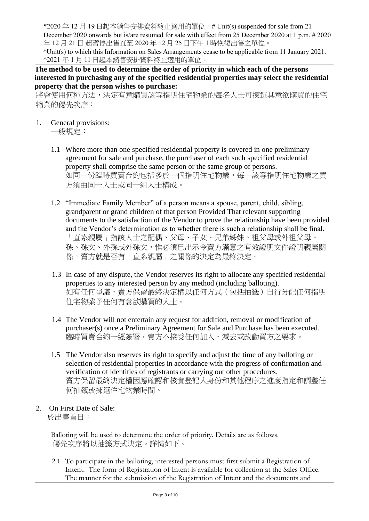\*2020 年 12 月 19 日起本銷售安排資料終止適用的單位。# Unit(s) suspended for sale from 21 December 2020 onwards but is/are resumed for sale with effect from 25 December 2020 at 1 p.m. # 2020 年 12 月 21 日 起暫停出售直至 2020 年 12 月 25 日下午 1 時恢復出售之單位。

^Unit(s) to which this Information on Sales Arrangements cease to be applicable from 11 January 2021. ^2021 年 1 月 11 日起本銷售安排資料終止適用的單位。

**The method to be used to determine the order of priority in which each of the persons interested in purchasing any of the specified residential properties may select the residential property that the person wishes to purchase:** 

將會使用何種方法,決定有意購買該等指明住宅物業的每名人士可揀選其意欲購買的住宅 物業的優先次序:

- 1. General provisions: 一般規定:
	- 1.1 Where more than one specified residential property is covered in one preliminary agreement for sale and purchase, the purchaser of each such specified residential property shall comprise the same person or the same group of persons. 如同一份臨時買賣合約包括多於一個指明住宅物業,每一該等指明住宅物業之買 方須由同一人士或同一組人士構成。
	- 1.2 "Immediate Family Member" of a person means a spouse, parent, child, sibling, grandparent or grand children of that person Provided That relevant supporting documents to the satisfaction of the Vendor to prove the relationship have been provided and the Vendor's determination as to whether there is such a relationship shall be final. 「直系親屬」指該人士之配偶、父母、子女、兄弟姊妹、祖父母或外祖父母、 孫、孫女、外孫或外孫女,惟必須已出示令賣方滿意之有效證明文件證明親屬關 係,賣方就是否有「直系親屬」之關係的決定為最終決定。
	- 1.3 In case of any dispute, the Vendor reserves its right to allocate any specified residential properties to any interested person by any method (including balloting). 如有任何爭議,賣方保留最終決定權以任何方式(包括抽籤)自行分配任何指明 住宅物業予任何有意欲購買的人士。
	- 1.4 The Vendor will not entertain any request for addition, removal or modification of purchaser(s) once a Preliminary Agreement for Sale and Purchase has been executed. 臨時買賣合約一經簽署,賣方不接受任何加入、減去或改動買方之要求。
	- 1.5 The Vendor also reserves its right to specify and adjust the time of any balloting or selection of residential properties in accordance with the progress of confirmation and verification of identities of registrants or carrying out other procedures. 賣方保留最終決定權因應確認和核實登記人身份和其他程序之進度指定和調整任 何抽籤或揀選住宅物業時間。
- 2. On First Date of Sale: 於出售首日:

Balloting will be used to determine the order of priority. Details are as follows. 優先次序將以抽籤方式決定。詳情如下。

2.1 To participate in the balloting, interested persons must first submit a Registration of Intent. The form of Registration of Intent is available for collection at the Sales Office. The manner for the submission of the Registration of Intent and the documents and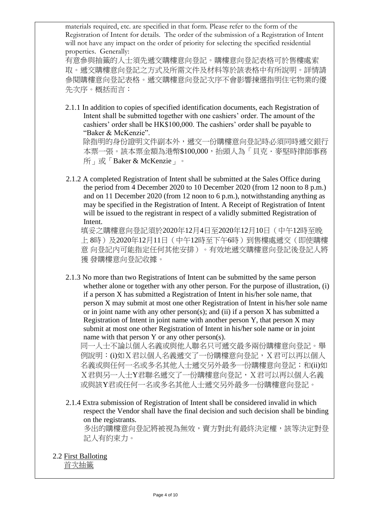materials required, etc. are specified in that form. Please refer to the form of the Registration of Intent for details. The order of the submission of a Registration of Intent will not have any impact on the order of priority for selecting the specified residential properties. Generally:

有意參與抽籤的人士須先遞交購樓意向登記。購樓意向登記表格可於售樓處索 取。遞交購樓意向登記之方式及所需文件及材料等於該表格中有所說明。詳情請 參閱購樓意向登記表格。遞交購樓意向登記次序不會影響揀選指明住宅物業的優 先次序。概括而言:

 2.1.1 In addition to copies of specified identification documents, each Registration of Intent shall be submitted together with one cashiers' order. The amount of the cashiers' order shall be HK\$100,000. The cashiers' order shall be payable to "Baker & McKenzie".

 除指明的身份證明文件副本外,遞交一份購樓意向登記時必須同時遞交銀行 本票一張。該本票金額為港幣\$100,000,抬頭人為「貝克·麥堅時律師事務 所」或「Baker & McKenzie」。

2.1.2 A completed Registration of Intent shall be submitted at the Sales Office during the period from 4 December 2020 to 10 December 2020 (from 12 noon to 8 p.m.) and on 11 December 2020 (from 12 noon to 6 p.m.), notwithstanding anything as may be specified in the Registration of Intent. A Receipt of Registration of Intent will be issued to the registrant in respect of a validly submitted Registration of Intent.

填妥之購樓意向登記須於2020年12月4日至2020年12月10日(中午12時至晚 上 8時)及2020年12月11日(中午12時至下午6時)到售樓處遞交(即使購樓 意 向登記內可能指定任何其他安排)。有效地遞交購樓意向登記後登記人將 獲 發購樓意向登記收據。

2.1.3 No more than two Registrations of Intent can be submitted by the same person whether alone or together with any other person. For the purpose of illustration, (i) if a person X has submitted a Registration of Intent in his/her sole name, that person X may submit at most one other Registration of Intent in his/her sole name or in joint name with any other person(s); and (ii) if a person  $X$  has submitted a Registration of Intent in joint name with another person Y, that person X may submit at most one other Registration of Intent in his/her sole name or in joint name with that person Y or any other person(s).

同一人士不論以個人名義或與他人聯名只可遞交最多兩份購樓意向登記。舉 例說明: (i)如X君以個人名義遞交了一份購樓意向登記, X君可以再以個人 名義或與任何一名或多名其他人士遞交另外最多一份購樓意向登記;和(ii)如 X君與另一人士Y君聯名遞交了一份購樓意向登記,X君可以再以個人名義 或與該Y君或任何一名或多名其他人士遞交另外最多一份購樓意向登記。

2.1.4 Extra submission of Registration of Intent shall be considered invalid in which respect the Vendor shall have the final decision and such decision shall be binding on the registrants.

多出的購樓意向登記將被視為無效,賣方對此有最終決定權,該等決定對登 記人有約束力。

2.2 First Balloting 首次抽籤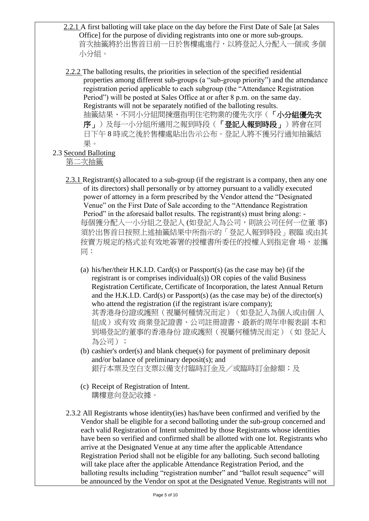- 2.2.1 A first balloting will take place on the day before the First Date of Sale [at Sales Office] for the purpose of dividing registrants into one or more sub-groups. 首次抽籤將於出售首日前一日於售樓處進行,以將登記人分配入一個或 多個 小分組。
- 2.2.2 The balloting results, the priorities in selection of the specified residential properties among different sub-groups (a "sub-group priority") and the attendance registration period applicable to each subgroup (the "Attendance Registration Period") will be posted at Sales Office at or after 8 p.m. on the same day. Registrants will not be separately notified of the balloting results. 抽籤結果、不同小分組間揀選指明住宅物業的優先次序(「小分組優先次 序」)及每一小分組所適用之報到時段(「登記人報到時段」)將會在同 日下午 8 時或之後於售樓處貼出告示公布。登記人將不獲另行通知抽籤結 果。
- 2.3 Second Balloting

第二次抽籤

- 2.3.1 Registrant(s) allocated to a sub-group (if the registrant is a company, then any one of its directors) shall personally or by attorney pursuant to a validly executed power of attorney in a form prescribed by the Vendor attend the "Designated Venue" on the First Date of Sale according to the "Attendance Registration Period" in the aforesaid ballot results. The registrant(s) must bring along: -每個獲分配入一小分組之登記人 (如登記人為公司,則該公司任何一位董 事) 須於出售首日按照上述抽籤結果中所指示的「登記人報到時段」親臨 或由其 按賣方規定的格式並有效地簽署的授權書所委任的授權人到指定會 場,並攜 同:
	- (a) his/her/their H.K.I.D. Card(s) or Passport(s) (as the case may be) (if the registrant is or comprises individual(s)) OR copies of the valid Business Registration Certificate, Certificate of Incorporation, the latest Annual Return and the H.K.I.D. Card(s) or Passport(s) (as the case may be) of the director(s) who attend the registration (if the registrant is/are company); 其香港身份證或護照(視屬何種情況而定)(如登記人為個人或由個 人 組成)或有效 商業登記證書、公司註冊證書、最新的周年申報表副 本和 到場登記的董事的香港身份 證或護照(視屬何種情況而定)(如 登記人 為公司);
	- (b) cashier's order(s) and blank cheque(s) for payment of preliminary deposit and/or balance of preliminary deposit(s); and 銀行本票及空白支票以備支付臨時訂金及/或臨時訂金餘額;及
	- (c) Receipt of Registration of Intent. 購樓意向登記收據。
- 2.3.2 All Registrants whose identity(ies) has/have been confirmed and verified by the Vendor shall be eligible for a second balloting under the sub-group concerned and each valid Registration of Intent submitted by those Registrants whose identities have been so verified and confirmed shall be allotted with one lot. Registrants who arrive at the Designated Venue at any time after the applicable Attendance Registration Period shall not be eligible for any balloting. Such second balloting will take place after the applicable Attendance Registration Period, and the balloting results including "registration number" and "ballot result sequence" will be announced by the Vendor on spot at the Designated Venue. Registrants will not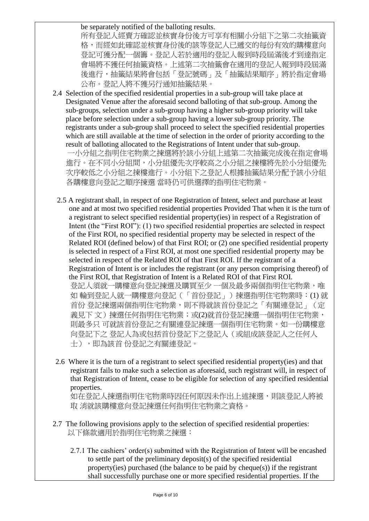## be separately notified of the balloting results.

所有登記人經賣方確認並核實身份後方可享有相關小分組下之第二次抽籤資 格,而經如此確認並核實身份後的該等登記人已遞交的每份有效的購樓意向 登記可獲分配一個籌。登記人若於適用的登記人報到時段屆滿後才到達指定 會場將不獲任何抽籤資格。上述第二次抽籤會在適用的登記人報到時段屆滿 後進行,抽籤結果將會包括「登記號碼」及「抽籤結果順序」將於指定會場 公布。登記人將不獲另行通知抽籤結果。

- 2.4 Selection of the specified residential properties in a sub-group will take place at Designated Venue after the aforesaid second balloting of that sub-group. Among the sub-groups, selection under a sub-group having a higher sub-group priority will take place before selection under a sub-group having a lower sub-group priority. The registrants under a sub-group shall proceed to select the specified residential properties which are still available at the time of selection in the order of priority according to the result of balloting allocated to the Registrations of Intent under that sub-group. 一小分組之指明住宅物業之揀選將於該小分組上述第二次抽籤完成後在指定會場 進行。在不同小分組間,小分組優先次序較高之小分組之揀樓將先於小分組優先 次序較低之小分組之揀樓進行。小分組下之登記人根據抽籤結果分配予該小分組 各購樓意向登記之順序揀選 當時仍可供選擇的指明住宅物業。
	- 2.5 A registrant shall, in respect of one Registration of Intent, select and purchase at least one and at most two specified residential properties Provided That when it is the turn of a registrant to select specified residential property(ies) in respect of a Registration of Intent (the "First ROI"): (1) two specified residential properties are selected in respect of the First ROI, no specified residential property may be selected in respect of the Related ROI (defined below) of that First ROI; or (2) one specified residential property is selected in respect of a First ROI, at most one specified residential property may be selected in respect of the Related ROI of that First ROI. If the registrant of a Registration of Intent is or includes the registrant (or any person comprising thereof) of the First ROI, that Registration of Intent is a Related ROI of that First ROI. 登記人須就一購樓意向登記揀選及購買至少 一個及最多兩個指明住宅物業,唯 如輪到登記人就一購樓意向登記(「首份登記」)揀選指明住宅物業時: (1) 就 首份 登記揀選兩個指明住宅物業,則不得就該首份登記之「有關連登記」(定 義見下 文)揀選任何指明住宅物業;或(2)就首份登記揀選一個指明住宅物業, 則最多只 可就該首份登記之有關連登記揀選一個指明住宅物業。如一份購樓意 向登記下之 登記人為或包括首份登記下之登記人(或組成該登記人之任何人 士),即為該首份登記之有關連登記。
	- 2.6 Where it is the turn of a registrant to select specified residential property(ies) and that registrant fails to make such a selection as aforesaid, such registrant will, in respect of that Registration of Intent, cease to be eligible for selection of any specified residential properties.

如在登記人揀選指明住宅物業時因任何原因未作出上述揀選,則該登記人將被 取 消就該購樓意向登記揀選任何指明住宅物業之資格。

- 2.7 The following provisions apply to the selection of specified residential properties: 以下條款適用於指明住宅物業之揀選:
	- 2.7.1 The cashiers' order(s) submitted with the Registration of Intent will be encashed to settle part of the preliminary deposit(s) of the specified residential property(ies) purchased (the balance to be paid by cheque(s)) if the registrant shall successfully purchase one or more specified residential properties. If the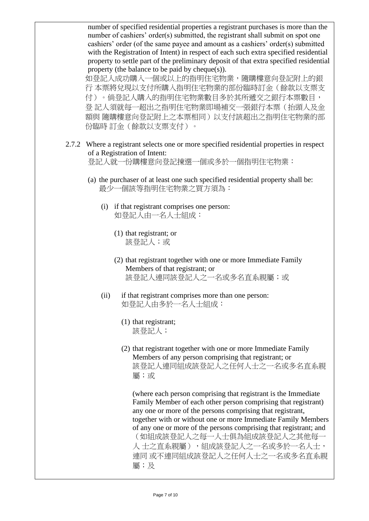number of specified residential properties a registrant purchases is more than the number of cashiers' order(s) submitted, the registrant shall submit on spot one cashiers' order (of the same payee and amount as a cashiers' order(s) submitted with the Registration of Intent) in respect of each such extra specified residential property to settle part of the preliminary deposit of that extra specified residential property (the balance to be paid by cheque(s)).

如登記人成功購入一個或以上的指明住宅物業,隨購樓意向登記附上的銀 行 本票將兌現以支付所購入指明住宅物業的部份臨時訂金(餘款以支票支 付)。倘登記人購入的指明住宅物業數目多於其所遞交之銀行本票數目, 登 記人須就每一超出之指明住宅物業即場補交一張銀行本票(抬頭人及金 額與 隨購樓意向登記附上之本票相同)以支付該超出之指明住宅物業的部 份臨時 訂金(餘款以支票支付)。

2.7.2 Where a registrant selects one or more specified residential properties in respect of a Registration of Intent:

登記人就一份購樓意向登記揀選一個或多於一個指明住宅物業:

- (a) the purchaser of at least one such specified residential property shall be: 最少一個該等指明住宅物業之買方須為:
	- (i) if that registrant comprises one person: 如登記人由一名人士組成:
		- (1) that registrant; or 該登記人;或
		- (2) that registrant together with one or more Immediate Family Members of that registrant; or 該登記人連同該登記人之一名或多名直系親屬;或
	- (ii) if that registrant comprises more than one person: 如登記人由多於一名人士組成:
		- (1) that registrant; 該登記人;
		- (2) that registrant together with one or more Immediate Family Members of any person comprising that registrant; or 該登記人連同組成該登記人之任何人士之一名或多名直系親 屬;或

(where each person comprising that registrant is the Immediate Family Member of each other person comprising that registrant) any one or more of the persons comprising that registrant, together with or without one or more Immediate Family Members of any one or more of the persons comprising that registrant; and (如組成該登記人之每一人士俱為組成該登記人之其他每一 人 士之直系親屬), 組成該登記人之一名或多於一名人士, 連同 或不連同組成該登記人之任何人士之一名或多名直系親 屬;及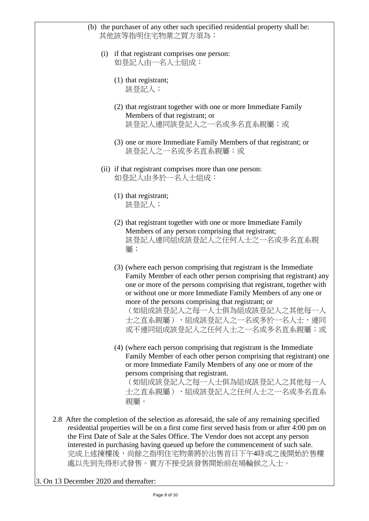| (b) the purchaser of any other such specified residential property shall be:<br>其他該等指明住宅物業之買方須為:                                                                                                                                                                                                                                                                                                                                           |
|--------------------------------------------------------------------------------------------------------------------------------------------------------------------------------------------------------------------------------------------------------------------------------------------------------------------------------------------------------------------------------------------------------------------------------------------|
| (i) if that registrant comprises one person:<br>如登記人由一名人士組成:                                                                                                                                                                                                                                                                                                                                                                               |
| $(1)$ that registrant;<br>該登記人;                                                                                                                                                                                                                                                                                                                                                                                                            |
| (2) that registrant together with one or more Immediate Family<br>Members of that registrant; or<br>該登記人連同該登記人之一名或多名直系親屬;或                                                                                                                                                                                                                                                                                                                 |
| (3) one or more Immediate Family Members of that registrant; or<br>該登記人之一名或多名直系親屬;或                                                                                                                                                                                                                                                                                                                                                        |
| (ii) if that registrant comprises more than one person:<br>如登記人由多於一名人士組成:                                                                                                                                                                                                                                                                                                                                                                  |
| $(1)$ that registrant;<br>該登記人;                                                                                                                                                                                                                                                                                                                                                                                                            |
| (2) that registrant together with one or more Immediate Family<br>Members of any person comprising that registrant;<br>該登記人連同組成該登記人之任何人士之一名或多名直系親<br>屬;                                                                                                                                                                                                                                                                                    |
| (3) (where each person comprising that registrant is the Immediate<br>Family Member of each other person comprising that registrant) any<br>one or more of the persons comprising that registrant, together with<br>or without one or more Immediate Family Members of any one or<br>more of the persons comprising that registrant; or<br>(如組成該登記人之每一人士俱為組成該登記人之其他每一人<br>士之直系親屬),組成該登記人之一名或多於一名人士,連同<br>或不連同組成該登記人之任何人士之一名或多名直系親屬;或       |
| (4) (where each person comprising that registrant is the Immediate<br>Family Member of each other person comprising that registrant) one<br>or more Immediate Family Members of any one or more of the<br>persons comprising that registrant.<br>(如組成該登記人之每一人士俱為組成該登記人之其他每一人<br>士之直系親屬), 組成該登記人之任何人士之一名或多名直系<br>親屬。                                                                                                                        |
| 2.8 After the completion of the selection as aforesaid, the sale of any remaining specified<br>residential properties will be on a first come first served basis from or after 4:00 pm on<br>the First Date of Sale at the Sales Office. The Vendor does not accept any person<br>interested in purchasing having queued up before the commencement of such sale.<br>完成上述揀樓後,尚餘之指明住宅物業將於出售首日下午4時或之後開始於售樓<br>處以先到先得形式發售。賣方不接受該發售開始前在場輪候之人士。 |

3. On 13 December 2020 and thereafter: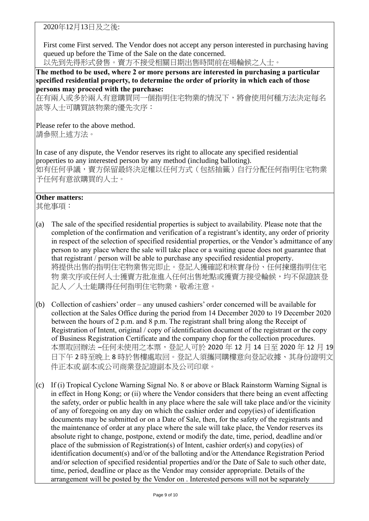2020年12月13日及之後:

First come First served. The Vendor does not accept any person interested in purchasing having queued up before the Time of the Sale on the date concerned.

以先到先得形式發售。賣方不接受相關日期出售時間前在場輪候之人士。

**The method to be used, where 2 or more persons are interested in purchasing a particular specified residential property, to determine the order of priority in which each of those persons may proceed with the purchase:**

在有兩人或多於兩人有意購買同一個指明住宅物業的情況下,將會使用何種方法決定每名 該等人士可購買該物業的優先次序:

Please refer to the above method. 請參照上述方法。

In case of any dispute, the Vendor reserves its right to allocate any specified residential properties to any interested person by any method (including balloting). 如有任何爭議,賣方保留最終決定權以任何方式(包括抽籤)自行分配任何指明住宅物業 予任何有意欲購買的人士。

## **Other matters:**

其他事項:

- (a) The sale of the specified residential properties is subject to availability. Please note that the completion of the confirmation and verification of a registrant's identity, any order of priority in respect of the selection of specified residential properties, or the Vendor's admittance of any person to any place where the sale will take place or a waiting queue does not guarantee that that registrant / person will be able to purchase any specified residential property. 將提供出售的指明住宅物業售完即止。登記人獲確認和核實身份、任何揀選指明住宅 物 業次序或任何人主獲賣方批准進入任何出售地點或獲賣方接受輪候,均不保證該登 記人 /人士能購得任何指明住宅物業,敬希注意。
- (b) Collection of cashiers' order any unused cashiers' order concerned will be available for collection at the Sales Office during the period from 14 December 2020 to 19 December 2020 between the hours of 2 p.m. and 8 p.m. The registrant shall bring along the Receipt of Registration of Intent, original / copy of identification document of the registrant or the copy of Business Registration Certificate and the company chop for the collection procedures. 本票取回辦法 –任何未使用之本票,登記人可於 2020 年 12 月 14 日至 2020 年 12 月 19 日下午 2 時至晚上 8 時於售樓處取回。登記人須攜同購樓意向登記收據、其身份證明文 件正本或 副本或公司商業登記證副本及公司印章。
- (c) If (i) Tropical Cyclone Warning Signal No. 8 or above or Black Rainstorm Warning Signal is in effect in Hong Kong; or (ii) where the Vendor considers that there being an event affecting the safety, order or public health in any place where the sale will take place and/or the vicinity of any of foregoing on any day on which the cashier order and copy(ies) of identification documents may be submitted or on a Date of Sale, then, for the safety of the registrants and the maintenance of order at any place where the sale will take place, the Vendor reserves its absolute right to change, postpone, extend or modify the date, time, period, deadline and/or place of the submission of Registration(s) of Intent, cashier order(s) and copy(ies) of identification document(s) and/or of the balloting and/or the Attendance Registration Period and/or selection of specified residential properties and/or the Date of Sale to such other date, time, period, deadline or place as the Vendor may consider appropriate. Details of the arrangement will be posted by the Vendor on . Interested persons will not be separately